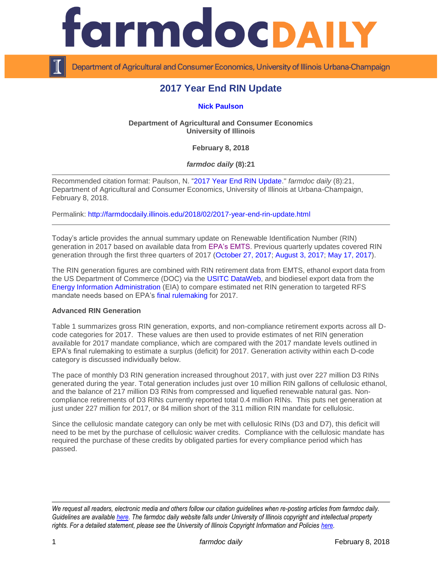

Department of Agricultural and Consumer Economics, University of Illinois Urbana-Champaign

# **2017 Year End RIN Update**

## **[Nick Paulson](http://farmdoc.illinois.edu/paulson)**

## **Department of Agricultural and Consumer Economics University of Illinois**

**February 8, 2018**

*farmdoc daily* **(8):21**

Recommended citation format: Paulson, N. ["2017 Year End RIN Update.](http://farmdocdaily.illinois.edu/2018/02/2017-year-end-rin-update.html)" *farmdoc daily* (8):21, Department of Agricultural and Consumer Economics, University of Illinois at Urbana-Champaign, February 8, 2018.

Permalink: <http://farmdocdaily.illinois.edu/2018/02/2017-year-end-rin-update.html>

Today's article provides the annual summary update on Renewable Identification Number (RIN) generation in 2017 based on available data from [EPA's EMTS.](http://www.epa.gov/otaq/fuels/rfsdata/2015emts.htm) Previous quarterly updates covered RIN generation through the first three quarters of 2017 [\(October 27, 2017;](http://farmdocdaily.illinois.edu/2017/10/2017-third-quarter-rin-update.html) [August 3, 2017;](http://farmdocdaily.illinois.edu/2017/08/2017-mid-year-rin-update.html) [May 17, 2017\)](http://farmdocdaily.illinois.edu/2017/05/2016-year-end-rin-update.html).

The RIN generation figures are combined with RIN retirement data from EMTS, ethanol export data from the US Department of Commerce (DOC) via the [USITC DataWeb,](https://dataweb.usitc.gov/scripts/user_set.asp) and biodiesel export data from the [Energy Information Administration](http://www.eia.gov/dnav/pet/pet_move_exp_dc_NUS-Z00_mbbl_m.htm) (EIA) to compare estimated net RIN generation to targeted RFS mandate needs based on EPA's [final rulemaking](https://www.gpo.gov/fdsys/pkg/FR-2015-12-14/pdf/2015-30893.pdf) for 2017.

#### **Advanced RIN Generation**

Table 1 summarizes gross RIN generation, exports, and non-compliance retirement exports across all Dcode categories for 2017. These values are then used to provide estimates of net RIN generation available for 2017 mandate compliance, which are compared with the 2017 mandate levels outlined in EPA's final rulemaking to estimate a surplus (deficit) for 2017. Generation activity within each D-code category is discussed individually below.

The pace of monthly D3 RIN generation increased throughout 2017, with just over 227 million D3 RINs generated during the year. Total generation includes just over 10 million RIN gallons of cellulosic ethanol, and the balance of 217 million D3 RINs from compressed and liquefied renewable natural gas. Noncompliance retirements of D3 RINs currently reported total 0.4 million RINs. This puts net generation at just under 227 million for 2017, or 84 million short of the 311 million RIN mandate for cellulosic.

Since the cellulosic mandate category can only be met with cellulosic RINs (D3 and D7), this deficit will need to be met by the purchase of cellulosic waiver credits. Compliance with the cellulosic mandate has required the purchase of these credits by obligated parties for every compliance period which has passed.

*We request all readers, electronic media and others follow our citation guidelines when re-posting articles from farmdoc daily. Guidelines are available [here.](http://farmdocdaily.illinois.edu/citationguide.html) The farmdoc daily website falls under University of Illinois copyright and intellectual property rights. For a detailed statement, please see the University of Illinois Copyright Information and Policies [here.](http://www.cio.illinois.edu/policies/copyright/)*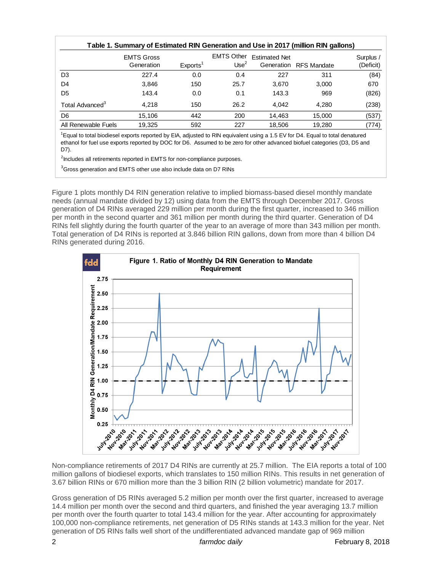| Table 1. Summary of Estimated RIN Generation and Use in 2017 (million RIN gallons) |                                 |                      |                               |                      |                        |                        |
|------------------------------------------------------------------------------------|---------------------------------|----------------------|-------------------------------|----------------------|------------------------|------------------------|
|                                                                                    | <b>EMTS Gross</b><br>Generation | Exports <sup>1</sup> | <b>EMTS Other</b><br>Use $^2$ | <b>Estimated Net</b> | Generation RFS Mandate | Surplus /<br>(Deficit) |
| D <sub>3</sub>                                                                     | 227.4                           | 0.0                  | 0.4                           | 227                  | 311                    | (84)                   |
| D <sub>4</sub>                                                                     | 3,846                           | 150                  | 25.7                          | 3,670                | 3,000                  | 670                    |
| D <sub>5</sub>                                                                     | 143.4                           | 0.0                  | 0.1                           | 143.3                | 969                    | (826)                  |
| Total Advanced <sup>3</sup>                                                        | 4.218                           | 150                  | 26.2                          | 4.042                | 4.280                  | (238)                  |
| D <sub>6</sub>                                                                     | 15,106                          | 442                  | 200                           | 14.463               | 15,000                 | (537)                  |
| All Renewable Fuels                                                                | 19.325                          | 592                  | 227                           | 18.506               | 19.280                 | (774)                  |

<sup>1</sup>Equal to total biodiesel exports reported by EIA, adjusted to RIN equivalent using a 1.5 EV for D4. Equal to total denatured ethanol for fuel use exports reported by DOC for D6. Assumed to be zero for other advanced biofuel categories (D3, D5 and D7).

<sup>2</sup>Includes all retirements reported in EMTS for non-compliance purposes.

<sup>3</sup>Gross generation and EMTS other use also include data on D7 RINs

Figure 1 plots monthly D4 RIN generation relative to implied biomass-based diesel monthly mandate needs (annual mandate divided by 12) using data from the EMTS through December 2017. Gross generation of D4 RINs averaged 229 million per month during the first quarter, increased to 346 million per month in the second quarter and 361 million per month during the third quarter. Generation of D4 RINs fell slightly during the fourth quarter of the year to an average of more than 343 million per month. Total generation of D4 RINs is reported at 3.846 billion RIN gallons, down from more than 4 billion D4 RINs generated during 2016.



million gallons of biodiesel exports, which translates to 150 million RINs. This results in net generation of 3.67 billion RINs or 670 million more than the 3 billion RIN (2 billion volumetric) mandate for 2017.

Gross generation of D5 RINs averaged 5.2 million per month over the first quarter, increased to average 14.4 million per month over the second and third quarters, and finished the year averaging 13.7 million per month over the fourth quarter to total 143.4 million for the year. After accounting for approximately 100,000 non-compliance retirements, net generation of D5 RINs stands at 143.3 million for the year. Net generation of D5 RINs falls well short of the undifferentiated advanced mandate gap of 969 million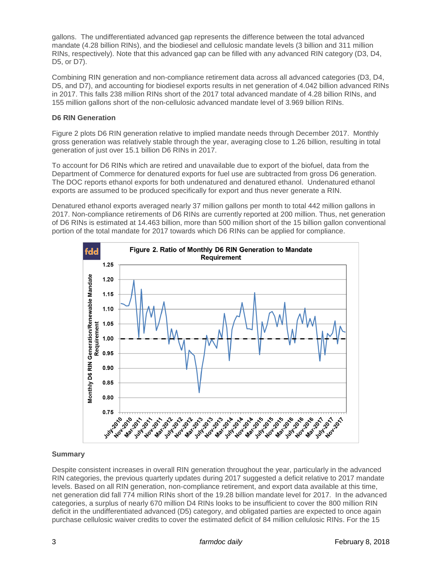gallons. The undifferentiated advanced gap represents the difference between the total advanced mandate (4.28 billion RINs), and the biodiesel and cellulosic mandate levels (3 billion and 311 million RINs, respectively). Note that this advanced gap can be filled with any advanced RIN category (D3, D4, D5, or D7).

Combining RIN generation and non-compliance retirement data across all advanced categories (D3, D4, D5, and D7), and accounting for biodiesel exports results in net generation of 4.042 billion advanced RINs in 2017. This falls 238 million RINs short of the 2017 total advanced mandate of 4.28 billion RINs, and 155 million gallons short of the non-cellulosic advanced mandate level of 3.969 billion RINs.

## **D6 RIN Generation**

Figure 2 plots D6 RIN generation relative to implied mandate needs through December 2017. Monthly gross generation was relatively stable through the year, averaging close to 1.26 billion, resulting in total generation of just over 15.1 billion D6 RINs in 2017.

To account for D6 RINs which are retired and unavailable due to export of the biofuel, data from the Department of Commerce for denatured exports for fuel use are subtracted from gross D6 generation. The DOC reports ethanol exports for both undenatured and denatured ethanol. Undenatured ethanol exports are assumed to be produced specifically for export and thus never generate a RIN.

Denatured ethanol exports averaged nearly 37 million gallons per month to total 442 million gallons in 2017. Non-compliance retirements of D6 RINs are currently reported at 200 million. Thus, net generation of D6 RINs is estimated at 14.463 billion, more than 500 million short of the 15 billion gallon conventional portion of the total mandate for 2017 towards which D6 RINs can be applied for compliance.



# **Summary**

Despite consistent increases in overall RIN generation throughout the year, particularly in the advanced RIN categories, the previous quarterly updates during 2017 suggested a deficit relative to 2017 mandate levels. Based on all RIN generation, non-compliance retirement, and export data available at this time, net generation did fall 774 million RINs short of the 19.28 billion mandate level for 2017. In the advanced categories, a surplus of nearly 670 million D4 RINs looks to be insufficient to cover the 800 million RIN deficit in the undifferentiated advanced (D5) category, and obligated parties are expected to once again purchase cellulosic waiver credits to cover the estimated deficit of 84 million cellulosic RINs. For the 15